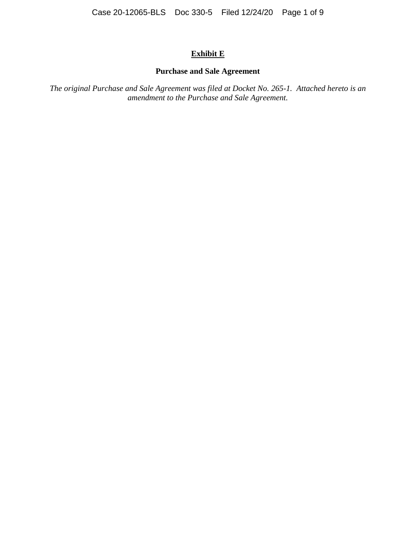# **Exhibit E**

## **Purchase and Sale Agreement**

*The original Purchase and Sale Agreement was filed at Docket No. 265-1. Attached hereto is an amendment to the Purchase and Sale Agreement.*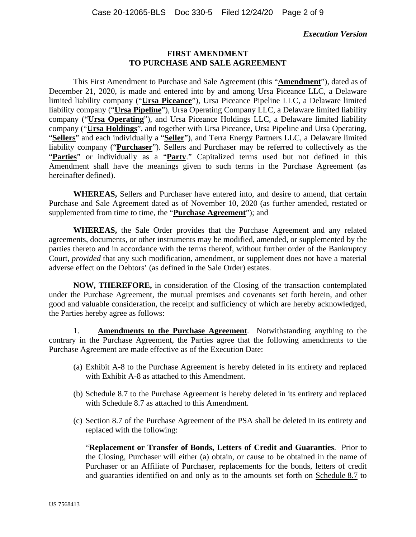### **Execution Version**

#### **FIRST AMENDMENT TO PURCHASE AND SALE AGREEMENT**

This First Amendment to Purchase and Sale Agreement (this "**Amendment**"), dated as of December 21, 2020, is made and entered into by and among Ursa Piceance LLC, a Delaware limited liability company ("**Ursa Piceance**"), Ursa Piceance Pipeline LLC, a Delaware limited liability company ("**Ursa Pipeline**"), Ursa Operating Company LLC, a Delaware limited liability company ("**Ursa Operating**"), and Ursa Piceance Holdings LLC, a Delaware limited liability company ("**Ursa Holdings**", and together with Ursa Piceance, Ursa Pipeline and Ursa Operating, "**Sellers**" and each individually a "**Seller**"), and Terra Energy Partners LLC, a Delaware limited liability company ("**Purchaser**"). Sellers and Purchaser may be referred to collectively as the "Parties" or individually as a "Party." Capitalized terms used but not defined in this Amendment shall have the meanings given to such terms in the Purchase Agreement (as hereinafter defined).

**WHEREAS,** Sellers and Purchaser have entered into, and desire to amend, that certain Purchase and Sale Agreement dated as of November 10, 2020 (as further amended, restated or supplemented from time to time, the "**Purchase Agreement**"); and

**WHEREAS,** the Sale Order provides that the Purchase Agreement and any related agreements, documents, or other instruments may be modified, amended, or supplemented by the parties thereto and in accordance with the terms thereof, without further order of the Bankruptcy Court, *provided* that any such modification, amendment, or supplement does not have a material adverse effect on the Debtors' (as defined in the Sale Order) estates.

**NOW, THEREFORE,** in consideration of the Closing of the transaction contemplated under the Purchase Agreement, the mutual premises and covenants set forth herein, and other good and valuable consideration, the receipt and sufficiency of which are hereby acknowledged, the Parties hereby agree as follows:

1. **Amendments to the Purchase Agreement**. Notwithstanding anything to the contrary in the Purchase Agreement, the Parties agree that the following amendments to the Purchase Agreement are made effective as of the Execution Date:

- (a) Exhibit A-8 to the Purchase Agreement is hereby deleted in its entirety and replaced with Exhibit A-8 as attached to this Amendment.
- (b) Schedule 8.7 to the Purchase Agreement is hereby deleted in its entirety and replaced with Schedule 8.7 as attached to this Amendment.
- (c) Section 8.7 of the Purchase Agreement of the PSA shall be deleted in its entirety and replaced with the following:

"**Replacement or Transfer of Bonds, Letters of Credit and Guaranties**. Prior to the Closing, Purchaser will either (a) obtain, or cause to be obtained in the name of Purchaser or an Affiliate of Purchaser, replacements for the bonds, letters of credit and guaranties identified on and only as to the amounts set forth on Schedule 8.7 to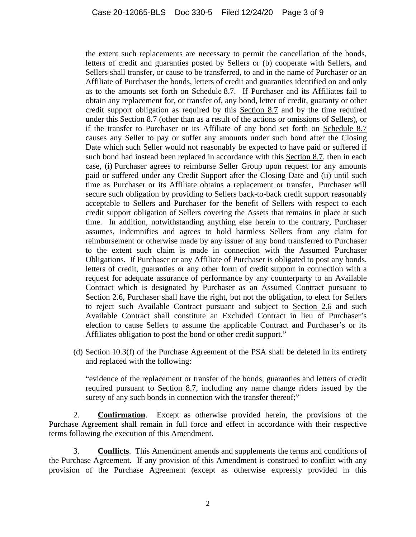the extent such replacements are necessary to permit the cancellation of the bonds, letters of credit and guaranties posted by Sellers or (b) cooperate with Sellers, and Sellers shall transfer, or cause to be transferred, to and in the name of Purchaser or an Affiliate of Purchaser the bonds, letters of credit and guaranties identified on and only as to the amounts set forth on Schedule 8.7. If Purchaser and its Affiliates fail to obtain any replacement for, or transfer of, any bond, letter of credit, guaranty or other credit support obligation as required by this Section 8.7 and by the time required under this Section 8.7 (other than as a result of the actions or omissions of Sellers), or if the transfer to Purchaser or its Affiliate of any bond set forth on Schedule 8.7 causes any Seller to pay or suffer any amounts under such bond after the Closing Date which such Seller would not reasonably be expected to have paid or suffered if such bond had instead been replaced in accordance with this Section 8.7, then in each case, (i) Purchaser agrees to reimburse Seller Group upon request for any amounts paid or suffered under any Credit Support after the Closing Date and (ii) until such time as Purchaser or its Affiliate obtains a replacement or transfer, Purchaser will secure such obligation by providing to Sellers back-to-back credit support reasonably acceptable to Sellers and Purchaser for the benefit of Sellers with respect to each credit support obligation of Sellers covering the Assets that remains in place at such time. In addition, notwithstanding anything else herein to the contrary, Purchaser assumes, indemnifies and agrees to hold harmless Sellers from any claim for reimbursement or otherwise made by any issuer of any bond transferred to Purchaser to the extent such claim is made in connection with the Assumed Purchaser Obligations. If Purchaser or any Affiliate of Purchaser is obligated to post any bonds, letters of credit, guaranties or any other form of credit support in connection with a request for adequate assurance of performance by any counterparty to an Available Contract which is designated by Purchaser as an Assumed Contract pursuant to Section 2.6, Purchaser shall have the right, but not the obligation, to elect for Sellers to reject such Available Contract pursuant and subject to Section 2.6 and such Available Contract shall constitute an Excluded Contract in lieu of Purchaser's election to cause Sellers to assume the applicable Contract and Purchaser's or its Affiliates obligation to post the bond or other credit support."

(d) Section 10.3(f) of the Purchase Agreement of the PSA shall be deleted in its entirety and replaced with the following:

"evidence of the replacement or transfer of the bonds, guaranties and letters of credit required pursuant to Section 8.7, including any name change riders issued by the surety of any such bonds in connection with the transfer thereof;"

2. **Confirmation**. Except as otherwise provided herein, the provisions of the Purchase Agreement shall remain in full force and effect in accordance with their respective terms following the execution of this Amendment.

3. **Conflicts**. This Amendment amends and supplements the terms and conditions of the Purchase Agreement. If any provision of this Amendment is construed to conflict with any provision of the Purchase Agreement (except as otherwise expressly provided in this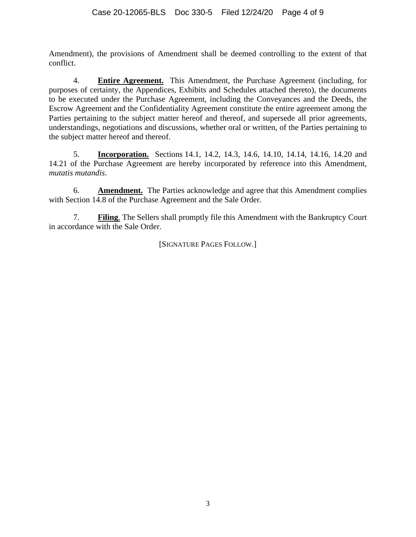Amendment), the provisions of Amendment shall be deemed controlling to the extent of that conflict.

4. **Entire Agreement.** This Amendment, the Purchase Agreement (including, for purposes of certainty, the Appendices, Exhibits and Schedules attached thereto), the documents to be executed under the Purchase Agreement, including the Conveyances and the Deeds, the Escrow Agreement and the Confidentiality Agreement constitute the entire agreement among the Parties pertaining to the subject matter hereof and thereof, and supersede all prior agreements, understandings, negotiations and discussions, whether oral or written, of the Parties pertaining to the subject matter hereof and thereof.

5. **Incorporation.** Sections 14.1, 14.2, 14.3, 14.6, 14.10, 14.14, 14.16, 14.20 and 14.21 of the Purchase Agreement are hereby incorporated by reference into this Amendment, *mutatis mutandis*.

6. **Amendment.** The Parties acknowledge and agree that this Amendment complies with Section 14.8 of the Purchase Agreement and the Sale Order.

7. **Filing**. The Sellers shall promptly file this Amendment with the Bankruptcy Court in accordance with the Sale Order.

[SIGNATURE PAGES FOLLOW*.*]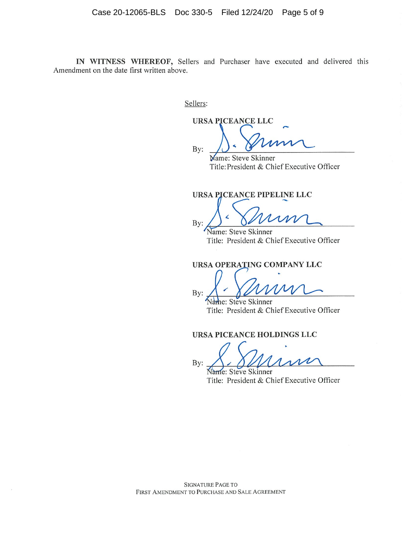IN WITNESS WHEREOF, Sellers and Purchaser have executed and delivered this Amendment on the date first written above.

Sellers:

**URSA PICEANCE LLC** 

By:

Mame: Steve Skinner Title: President & Chief Executive Officer

URSA PICEANCE PIPELINE LLC

By:

Name: Steve Skinner Title: President & Chief Executive Officer

URSA OPERATING COMPANY LLC

By:

he: Steve Skinner Title: President & Chief Executive Officer

URSA PICEANCE HOLDINGS LLC

 $By:$ 

Name: Steve Skinner Title: President & Chief Executive Officer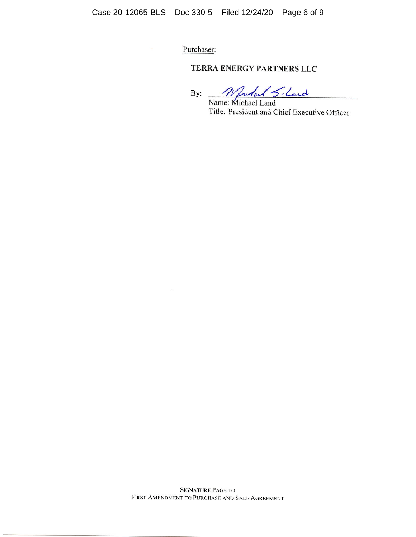Purchaser:

## TERRA ENERGY PARTNERS LLC

By: <u>Mulal S</u>-Land Title: President and Chief Executive Officer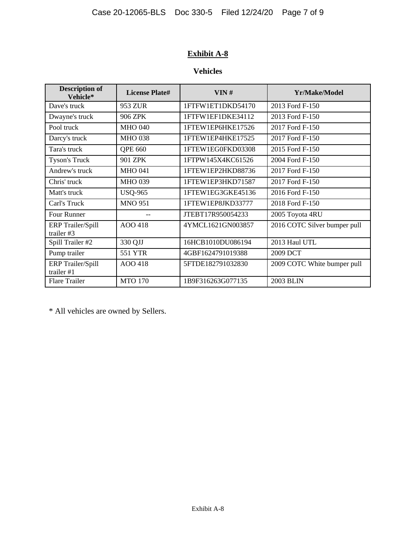# **Exhibit A-8**

# **Vehicles**

| <b>Description of</b><br>Vehicle*        | <b>License Plate#</b> | VIN#              | Yr/Make/Model                |  |
|------------------------------------------|-----------------------|-------------------|------------------------------|--|
| Dave's truck                             | 953 ZUR               | 1FTFW1ET1DKD54170 | 2013 Ford F-150              |  |
| Dwayne's truck                           | 906 ZPK               | 1FTFW1EF1DKE34112 | 2013 Ford F-150              |  |
| Pool truck                               | <b>MHO 040</b>        | 1FTEW1EP6HKE17526 | 2017 Ford F-150              |  |
| Darcy's truck                            | <b>MHO 038</b>        | 1FTEW1EP4HKE17525 | 2017 Ford F-150              |  |
| Tara's truck                             | QPE 660               | 1FTEW1EG0FKD03308 | 2015 Ford F-150              |  |
| Tyson's Truck                            | 901 ZPK               | 1FTPW145X4KC61526 | 2004 Ford F-150              |  |
| Andrew's truck                           | <b>MHO 041</b>        | 1FTEW1EP2HKD88736 | 2017 Ford F-150              |  |
| Chris' truck                             | <b>MHO 039</b>        | 1FTEW1EP3HKD71587 | 2017 Ford F-150              |  |
| Matt's truck                             | <b>USQ-965</b>        | 1FTEW1EG3GKE45136 | 2016 Ford F-150              |  |
| Carl's Truck                             | <b>MNO 951</b>        | 1FTEW1EP8JKD33777 | 2018 Ford F-150              |  |
| <b>Four Runner</b>                       |                       | JTEBT17R950054233 | 2005 Toyota 4RU              |  |
| <b>ERP</b> Trailer/Spill<br>trailer $#3$ | AOO 418               | 4YMCL1621GN003857 | 2016 COTC Silver bumper pull |  |
| Spill Trailer #2                         | 330 QJJ               | 16HCB1010DU086194 | 2013 Haul UTL                |  |
| Pump trailer                             | 551 YTR               | 4GBF1624791019388 | 2009 DCT                     |  |
| <b>ERP</b> Trailer/Spill<br>trailer #1   | AOO 418               | 5FTDE182791032830 | 2009 COTC White bumper pull  |  |
| <b>Flare Trailer</b>                     | <b>MTO 170</b>        | 1B9F316263G077135 | 2003 BLIN                    |  |

\* All vehicles are owned by Sellers.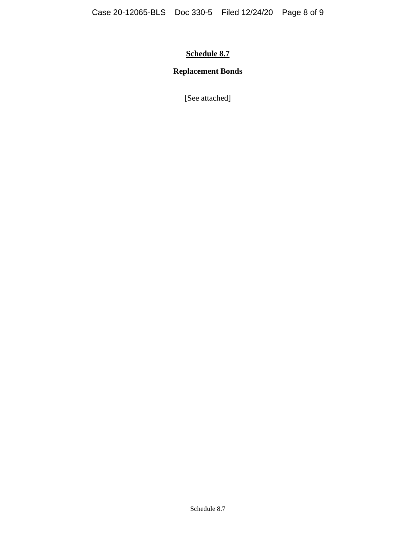# **Schedule 8.7**

# **Replacement Bonds**

[See attached]